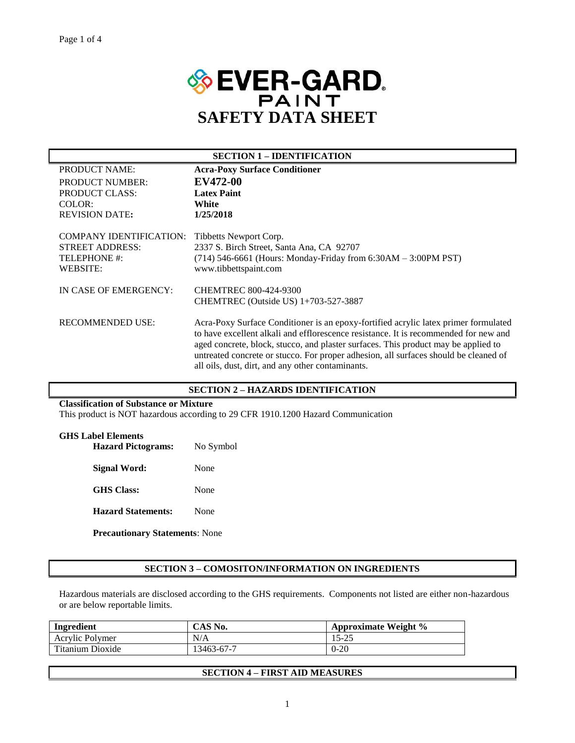

| <b>SECTION 1 – IDENTIFICATION</b>                                                    |                                                                                                                                                                                                                                                                                                                                                                                                                |  |  |
|--------------------------------------------------------------------------------------|----------------------------------------------------------------------------------------------------------------------------------------------------------------------------------------------------------------------------------------------------------------------------------------------------------------------------------------------------------------------------------------------------------------|--|--|
| <b>PRODUCT NAME:</b>                                                                 | <b>Acra-Poxy Surface Conditioner</b>                                                                                                                                                                                                                                                                                                                                                                           |  |  |
| <b>PRODUCT NUMBER:</b>                                                               | <b>EV472-00</b>                                                                                                                                                                                                                                                                                                                                                                                                |  |  |
| <b>PRODUCT CLASS:</b>                                                                | <b>Latex Paint</b>                                                                                                                                                                                                                                                                                                                                                                                             |  |  |
| COLOR:                                                                               | White                                                                                                                                                                                                                                                                                                                                                                                                          |  |  |
| <b>REVISION DATE:</b>                                                                | 1/25/2018                                                                                                                                                                                                                                                                                                                                                                                                      |  |  |
| <b>COMPANY IDENTIFICATION:</b><br><b>STREET ADDRESS:</b><br>TELEPHONE #:<br>WEBSITE: | Tibbetts Newport Corp.<br>2337 S. Birch Street, Santa Ana, CA 92707<br>$(714)$ 546-6661 (Hours: Monday-Friday from 6:30AM – 3:00PM PST)<br>www.tibbettspaint.com                                                                                                                                                                                                                                               |  |  |
| IN CASE OF EMERGENCY:                                                                | <b>CHEMTREC 800-424-9300</b>                                                                                                                                                                                                                                                                                                                                                                                   |  |  |
|                                                                                      | CHEMTREC (Outside US) 1+703-527-3887                                                                                                                                                                                                                                                                                                                                                                           |  |  |
| <b>RECOMMENDED USE:</b>                                                              | Acra-Poxy Surface Conditioner is an epoxy-fortified acrylic latex primer formulated<br>to have excellent alkali and efflorescence resistance. It is recommended for new and<br>aged concrete, block, stucco, and plaster surfaces. This product may be applied to<br>untreated concrete or stucco. For proper adhesion, all surfaces should be cleaned of<br>all oils, dust, dirt, and any other contaminants. |  |  |

### **SECTION 2 – HAZARDS IDENTIFICATION**

### **Classification of Substance or Mixture**

This product is NOT hazardous according to 29 CFR 1910.1200 Hazard Communication

### **GHS Label Elements**

| <b>Hazard Pictograms:</b> | No Symbol |  |  |
|---------------------------|-----------|--|--|
| Signal Word:              | None      |  |  |
| <b>GHS</b> Class:         | None      |  |  |
| <b>Hazard Statements:</b> | None      |  |  |

**Precautionary Statements**: None

### **SECTION 3 – COMOSITON/INFORMATION ON INGREDIENTS**

Hazardous materials are disclosed according to the GHS requirements. Components not listed are either non-hazardous or are below reportable limits.

| Ingredient       | CAS No.    | Approximate Weight % |
|------------------|------------|----------------------|
| Acrylic Polymer  | N/A        | 15-25                |
| Titanium Dioxide | 13463-67-7 | $0 - 20$             |

## **SECTION 4 – FIRST AID MEASURES**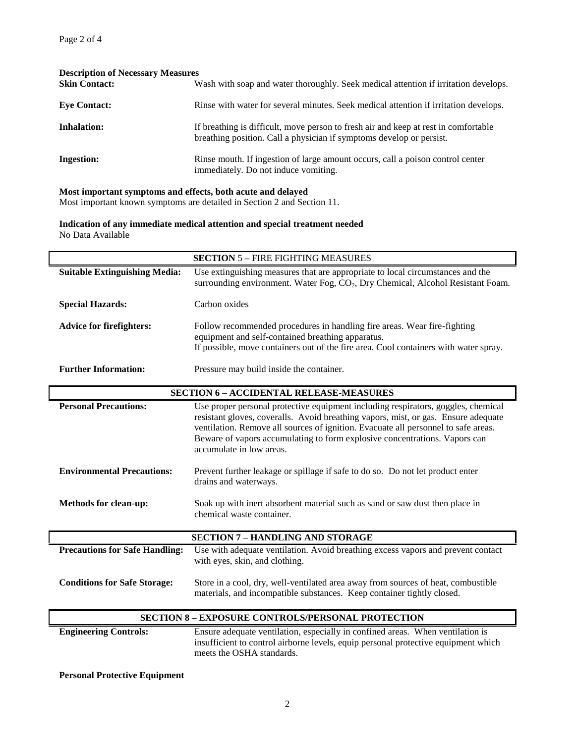| <b>Description of Necessary Measures</b> |                                                                                                                                                             |  |  |  |
|------------------------------------------|-------------------------------------------------------------------------------------------------------------------------------------------------------------|--|--|--|
| <b>Skin Contact:</b>                     | Wash with soap and water thoroughly. Seek medical attention if irritation develops.                                                                         |  |  |  |
| <b>Eve Contact:</b>                      | Rinse with water for several minutes. Seek medical attention if irritation develops.                                                                        |  |  |  |
| <b>Inhalation:</b>                       | If breathing is difficult, move person to fresh air and keep at rest in comfortable<br>breathing position. Call a physician if symptoms develop or persist. |  |  |  |
| <b>Ingestion:</b>                        | Rinse mouth. If ingestion of large amount occurs, call a poison control center<br>immediately. Do not induce vomiting.                                      |  |  |  |

### **Most important symptoms and effects, both acute and delayed**

Most important known symptoms are detailed in Section 2 and Section 11.

**Indication of any immediate medical attention and special treatment needed** No Data Available

|                                       | <b>SECTION 5 - FIRE FIGHTING MEASURES</b>                                                                                                                               |  |  |  |  |
|---------------------------------------|-------------------------------------------------------------------------------------------------------------------------------------------------------------------------|--|--|--|--|
| <b>Suitable Extinguishing Media:</b>  | Use extinguishing measures that are appropriate to local circumstances and the                                                                                          |  |  |  |  |
|                                       | surrounding environment. Water Fog, CO <sub>2</sub> , Dry Chemical, Alcohol Resistant Foam.                                                                             |  |  |  |  |
| <b>Special Hazards:</b>               | Carbon oxides                                                                                                                                                           |  |  |  |  |
|                                       |                                                                                                                                                                         |  |  |  |  |
| <b>Advice for firefighters:</b>       | Follow recommended procedures in handling fire areas. Wear fire-fighting                                                                                                |  |  |  |  |
|                                       | equipment and self-contained breathing apparatus.                                                                                                                       |  |  |  |  |
|                                       | If possible, move containers out of the fire area. Cool containers with water spray.                                                                                    |  |  |  |  |
| <b>Further Information:</b>           | Pressure may build inside the container.                                                                                                                                |  |  |  |  |
|                                       |                                                                                                                                                                         |  |  |  |  |
|                                       | <b>SECTION 6 - ACCIDENTAL RELEASE-MEASURES</b>                                                                                                                          |  |  |  |  |
| <b>Personal Precautions:</b>          | Use proper personal protective equipment including respirators, goggles, chemical<br>resistant gloves, coveralls. Avoid breathing vapors, mist, or gas. Ensure adequate |  |  |  |  |
|                                       | ventilation. Remove all sources of ignition. Evacuate all personnel to safe areas.                                                                                      |  |  |  |  |
|                                       | Beware of vapors accumulating to form explosive concentrations. Vapors can<br>accumulate in low areas.                                                                  |  |  |  |  |
| <b>Environmental Precautions:</b>     | Prevent further leakage or spillage if safe to do so. Do not let product enter<br>drains and waterways.                                                                 |  |  |  |  |
| <b>Methods for clean-up:</b>          | Soak up with inert absorbent material such as sand or saw dust then place in<br>chemical waste container.                                                               |  |  |  |  |
|                                       | <b>SECTION 7 - HANDLING AND STORAGE</b>                                                                                                                                 |  |  |  |  |
| <b>Precautions for Safe Handling:</b> | Use with adequate ventilation. Avoid breathing excess vapors and prevent contact<br>with eyes, skin, and clothing.                                                      |  |  |  |  |
| <b>Conditions for Safe Storage:</b>   | Store in a cool, dry, well-ventilated area away from sources of heat, combustible<br>materials, and incompatible substances. Keep container tightly closed.             |  |  |  |  |

### **SECTION 8 – EXPOSURE CONTROLS/PERSONAL PROTECTION**

**Engineering Controls:** Ensure adequate ventilation, especially in confined areas. When ventilation is insufficient to control airborne levels, equip personal protective equipment which meets the OSHA standards.

**Personal Protective Equipment**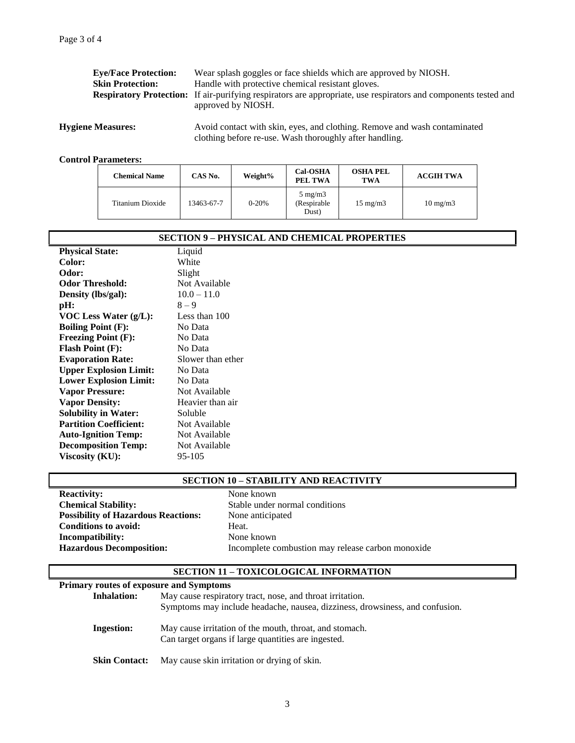| <b>Eve/Face Protection:</b> | Wear splash goggles or face shields which are approved by NIOSH.                                                       |
|-----------------------------|------------------------------------------------------------------------------------------------------------------------|
| <b>Skin Protection:</b>     | Handle with protective chemical resistant gloves.                                                                      |
|                             | <b>Respiratory Protection:</b> If air-purifying respirators are appropriate, use respirators and components tested and |
|                             | approved by NIOSH.                                                                                                     |
|                             |                                                                                                                        |

**Hygiene Measures:** Avoid contact with skin, eyes, and clothing. Remove and wash contaminated clothing before re-use. Wash thoroughly after handling.

### **Control Parameters:**

| <b>Chemical Name</b> | CAS No.    | Weight%   | <b>Cal-OSHA</b><br>PEL TWA                | <b>OSHA PEL</b><br>TWA | <b>ACGIH TWA</b>  |
|----------------------|------------|-----------|-------------------------------------------|------------------------|-------------------|
| Titanium Dioxide     | 13463-67-7 | $0 - 20%$ | $5 \text{ mg/m}$<br>(Respirable)<br>Dust) | $15 \text{ mg/m}$      | $10 \text{ mg/m}$ |

| <b>SECTION 9 – PHYSICAL AND CHEMICAL PROPERTIES</b> |                   |  |  |
|-----------------------------------------------------|-------------------|--|--|
| <b>Physical State:</b>                              | Liquid            |  |  |
| <b>Color:</b>                                       | White             |  |  |
| Odor:                                               | Slight            |  |  |
| <b>Odor Threshold:</b>                              | Not Available     |  |  |
| Density (lbs/gal):                                  | $10.0 - 11.0$     |  |  |
| pH:                                                 | $8 - 9$           |  |  |
| VOC Less Water $(g/L)$ :                            | Less than 100     |  |  |
| <b>Boiling Point (F):</b>                           | No Data           |  |  |
| <b>Freezing Point (F):</b>                          | No Data           |  |  |
| <b>Flash Point (F):</b>                             | No Data           |  |  |
| <b>Evaporation Rate:</b>                            | Slower than ether |  |  |
| <b>Upper Explosion Limit:</b>                       | No Data           |  |  |
| <b>Lower Explosion Limit:</b>                       | No Data           |  |  |
| <b>Vapor Pressure:</b>                              | Not Available     |  |  |
| <b>Vapor Density:</b>                               | Heavier than air  |  |  |
| <b>Solubility in Water:</b>                         | Soluble           |  |  |
| <b>Partition Coefficient:</b>                       | Not Available     |  |  |
| <b>Auto-Ignition Temp:</b>                          | Not Available     |  |  |
| <b>Decomposition Temp:</b>                          | Not Available     |  |  |
| Viscosity (KU):                                     | 95-105            |  |  |
|                                                     |                   |  |  |

## **SECTION 10 – STABILITY AND REACTIVITY**

**Reactivity:** None known **Chemical Stability:** Stable under normal conditions **Possibility of Hazardous Reactions:** None anticipated **Conditions to avoid:** Heat. **Incompatibility:** None known

**Hazardous Decomposition:** Incomplete combustion may release carbon monoxide

# **SECTION 11 – TOXICOLOGICAL INFORMATION**

| Primary routes of exposure and Symptoms |                                                                                                                                           |  |  |  |
|-----------------------------------------|-------------------------------------------------------------------------------------------------------------------------------------------|--|--|--|
| <b>Inhalation:</b>                      | May cause respiratory tract, nose, and throat irritation.<br>Symptoms may include headache, nausea, dizziness, drowsiness, and confusion. |  |  |  |
| Ingestion:                              | May cause irritation of the mouth, throat, and stomach.<br>Can target organs if large quantities are ingested.                            |  |  |  |
| <b>Skin Contact:</b>                    | May cause skin irritation or drying of skin.                                                                                              |  |  |  |